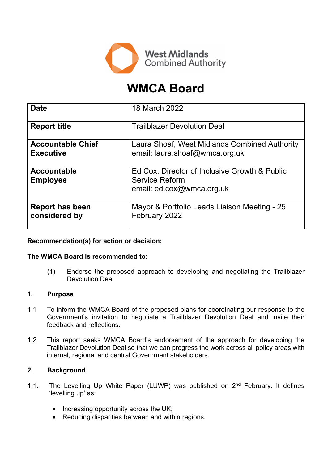

# **WMCA Board**

| <b>Date</b>                                  | 18 March 2022                                                                                       |
|----------------------------------------------|-----------------------------------------------------------------------------------------------------|
| <b>Report title</b>                          | <b>Trailblazer Devolution Deal</b>                                                                  |
| <b>Accountable Chief</b><br><b>Executive</b> | Laura Shoaf, West Midlands Combined Authority<br>email: laura.shoaf@wmca.org.uk                     |
| <b>Accountable</b><br><b>Employee</b>        | Ed Cox, Director of Inclusive Growth & Public<br><b>Service Reform</b><br>email: ed.cox@wmca.org.uk |
| <b>Report has been</b><br>considered by      | Mayor & Portfolio Leads Liaison Meeting - 25<br>February 2022                                       |

## **Recommendation(s) for action or decision:**

## **The WMCA Board is recommended to:**

(1) Endorse the proposed approach to developing and negotiating the Trailblazer Devolution Deal

## **1. Purpose**

- 1.1 To inform the WMCA Board of the proposed plans for coordinating our response to the Government's invitation to negotiate a Trailblazer Devolution Deal and invite their feedback and reflections.
- 1.2 This report seeks WMCA Board's endorsement of the approach for developing the Trailblazer Devolution Deal so that we can progress the work across all policy areas with internal, regional and central Government stakeholders.

#### **2. Background**

- 1.1. The Levelling Up White Paper (LUWP) was published on 2<sup>nd</sup> February. It defines 'levelling up' as:
	- Increasing opportunity across the UK;
	- Reducing disparities between and within regions.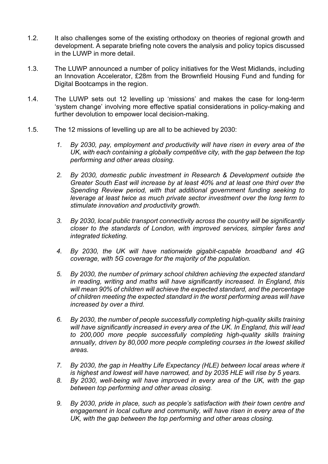- 1.2. It also challenges some of the existing orthodoxy on theories of regional growth and development. A separate briefing note covers the analysis and policy topics discussed in the LUWP in more detail.
- 1.3. The LUWP announced a number of policy initiatives for the West Midlands, including an Innovation Accelerator, £28m from the Brownfield Housing Fund and funding for Digital Bootcamps in the region.
- 1.4. The LUWP sets out 12 levelling up 'missions' and makes the case for long-term 'system change' involving more effective spatial considerations in policy-making and further devolution to empower local decision-making.
- 1.5. The 12 missions of levelling up are all to be achieved by 2030:
	- *1. By 2030, pay, employment and productivity will have risen in every area of the UK, with each containing a globally competitive city, with the gap between the top performing and other areas closing.*
	- *2. By 2030, domestic public investment in Research & Development outside the Greater South East will increase by at least 40% and at least one third over the Spending Review period, with that additional government funding seeking to leverage at least twice as much private sector investment over the long term to stimulate innovation and productivity growth.*
	- *3. By 2030, local public transport connectivity across the country will be significantly closer to the standards of London, with improved services, simpler fares and integrated ticketing.*
	- *4. By 2030, the UK will have nationwide gigabit-capable broadband and 4G coverage, with 5G coverage for the majority of the population.*
	- *5. By 2030, the number of primary school children achieving the expected standard in reading, writing and maths will have significantly increased. In England, this will mean 90% of children will achieve the expected standard, and the percentage of children meeting the expected standard in the worst performing areas will have increased by over a third.*
	- *6. By 2030, the number of people successfully completing high-quality skills training will have significantly increased in every area of the UK. In England, this will lead to 200,000 more people successfully completing high-quality skills training annually, driven by 80,000 more people completing courses in the lowest skilled areas.*
	- *7. By 2030, the gap in Healthy Life Expectancy (HLE) between local areas where it is highest and lowest will have narrowed, and by 2035 HLE will rise by 5 years.*
	- *8. By 2030, well-being will have improved in every area of the UK, with the gap between top performing and other areas closing.*
	- *9. By 2030, pride in place, such as people's satisfaction with their town centre and engagement in local culture and community, will have risen in every area of the UK, with the gap between the top performing and other areas closing.*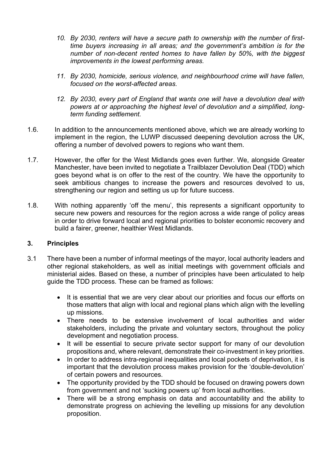- *10. By 2030, renters will have a secure path to ownership with the number of firsttime buyers increasing in all areas; and the government's ambition is for the number of non-decent rented homes to have fallen by 50%, with the biggest improvements in the lowest performing areas.*
- *11. By 2030, homicide, serious violence, and neighbourhood crime will have fallen, focused on the worst-affected areas.*
- *12. By 2030, every part of England that wants one will have a devolution deal with powers at or approaching the highest level of devolution and a simplified, longterm funding settlement.*
- 1.6. In addition to the announcements mentioned above, which we are already working to implement in the region, the LUWP discussed deepening devolution across the UK, offering a number of devolved powers to regions who want them.
- 1.7. However, the offer for the West Midlands goes even further. We, alongside Greater Manchester, have been invited to negotiate a Trailblazer Devolution Deal (TDD) which goes beyond what is on offer to the rest of the country. We have the opportunity to seek ambitious changes to increase the powers and resources devolved to us, strengthening our region and setting us up for future success.
- 1.8. With nothing apparently 'off the menu', this represents a significant opportunity to secure new powers and resources for the region across a wide range of policy areas in order to drive forward local and regional priorities to bolster economic recovery and build a fairer, greener, healthier West Midlands.

## **3. Principles**

- 3.1 There have been a number of informal meetings of the mayor, local authority leaders and other regional stakeholders, as well as initial meetings with government officials and ministerial aides. Based on these, a number of principles have been articulated to help guide the TDD process. These can be framed as follows:
	- It is essential that we are very clear about our priorities and focus our efforts on those matters that align with local and regional plans which align with the levelling up missions.
	- There needs to be extensive involvement of local authorities and wider stakeholders, including the private and voluntary sectors, throughout the policy development and negotiation process.
	- It will be essential to secure private sector support for many of our devolution propositions and, where relevant, demonstrate their co-investment in key priorities.
	- In order to address intra-regional inequalities and local pockets of deprivation, it is important that the devolution process makes provision for the 'double-devolution' of certain powers and resources.
	- The opportunity provided by the TDD should be focused on drawing powers down from government and not 'sucking powers up' from local authorities.
	- There will be a strong emphasis on data and accountability and the ability to demonstrate progress on achieving the levelling up missions for any devolution proposition.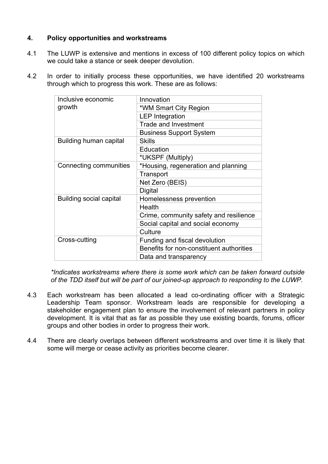## **4. Policy opportunities and workstreams**

- 4.1 The LUWP is extensive and mentions in excess of 100 different policy topics on which we could take a stance or seek deeper devolution.
- 4.2 In order to initially process these opportunities, we have identified 20 workstreams through which to progress this work. These are as follows:

| Inclusive economic<br>growth   | Innovation                               |
|--------------------------------|------------------------------------------|
|                                | *WM Smart City Region                    |
|                                | <b>LEP</b> Integration                   |
|                                | <b>Trade and Investment</b>              |
|                                | <b>Business Support System</b>           |
| Building human capital         | <b>Skills</b>                            |
|                                | Education                                |
|                                | *UKSPF (Multiply)                        |
| Connecting communities         | *Housing, regeneration and planning      |
|                                | Transport                                |
|                                | Net Zero (BEIS)                          |
|                                | Digital                                  |
| <b>Building social capital</b> | Homelessness prevention                  |
|                                | Health                                   |
|                                | Crime, community safety and resilience   |
|                                | Social capital and social economy        |
|                                | Culture                                  |
| Cross-cutting                  | Funding and fiscal devolution            |
|                                | Benefits for non-constituent authorities |
|                                | Data and transparency                    |

*\*Indicates workstreams where there is some work which can be taken forward outside of the TDD itself but will be part of our joined-up approach to responding to the LUWP.*

- 4.3 Each workstream has been allocated a lead co-ordinating officer with a Strategic Leadership Team sponsor. Workstream leads are responsible for developing a stakeholder engagement plan to ensure the involvement of relevant partners in policy development. It is vital that as far as possible they use existing boards, forums, officer groups and other bodies in order to progress their work.
- 4.4 There are clearly overlaps between different workstreams and over time it is likely that some will merge or cease activity as priorities become clearer.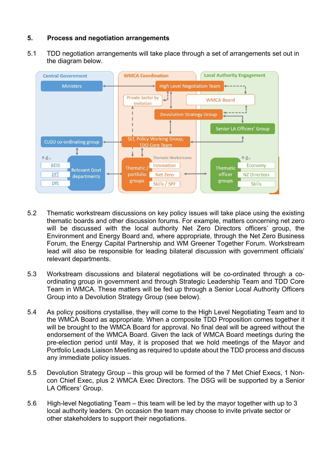## **5. Process and negotiation arrangements**

5.1 TDD negotiation arrangements will take place through a set of arrangements set out in the diagram below.



- 5.2 Thematic workstream discussions on key policy issues will take place using the existing thematic boards and other discussion forums. For example, matters concerning net zero will be discussed with the local authority Net Zero Directors officers' group, the Environment and Energy Board and, where appropriate, through the Net Zero Business Forum, the Energy Capital Partnership and WM Greener Together Forum. Workstream lead will also be responsible for leading bilateral discussion with government officials' relevant departments.
- 5.3 Workstream discussions and bilateral negotiations will be co-ordinated through a coordinating group in government and through Strategic Leadership Team and TDD Core Team in WMCA. These matters will be fed up through a Senior Local Authority Officers Group into a Devolution Strategy Group (see below).
- 5.4 As policy positions crystallise, they will come to the High Level Negotiating Team and to the WMCA Board as appropriate. When a composite TDD Proposition comes together it will be brought to the WMCA Board for approval. No final deal will be agreed without the endorsement of the WMCA Board. Given the lack of WMCA Board meetings during the pre-election period until May, it is proposed that we hold meetings of the Mayor and Portfolio Leads Liaison Meeting as required to update about the TDD process and discuss any immediate policy issues.
- 5.5 Devolution Strategy Group this group will be formed of the 7 Met Chief Execs, 1 Noncon Chief Exec, plus 2 WMCA Exec Directors. The DSG will be supported by a Senior LA Officers' Group.
- 5.6 High-level Negotiating Team this team will be led by the mayor together with up to 3 local authority leaders. On occasion the team may choose to invite private sector or other stakeholders to support their negotiations.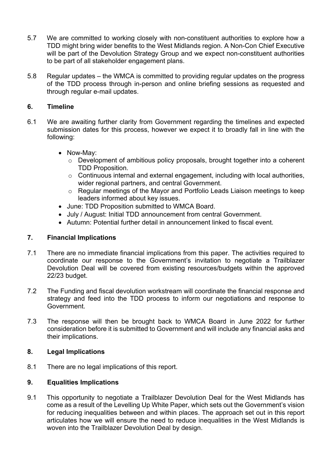- 5.7 We are committed to working closely with non-constituent authorities to explore how a TDD might bring wider benefits to the West Midlands region. A Non-Con Chief Executive will be part of the Devolution Strategy Group and we expect non-constituent authorities to be part of all stakeholder engagement plans.
- 5.8 Regular updates the WMCA is committed to providing regular updates on the progress of the TDD process through in-person and online briefing sessions as requested and through regular e-mail updates.

## **6. Timeline**

- 6.1 We are awaiting further clarity from Government regarding the timelines and expected submission dates for this process, however we expect it to broadly fall in line with the following:
	- Now-May:
		- o Development of ambitious policy proposals, brought together into a coherent TDD Proposition.
		- o Continuous internal and external engagement, including with local authorities, wider regional partners, and central Government.
		- o Regular meetings of the Mayor and Portfolio Leads Liaison meetings to keep leaders informed about key issues.
	- June: TDD Proposition submitted to WMCA Board.
	- July / August: Initial TDD announcement from central Government.
	- Autumn: Potential further detail in announcement linked to fiscal event.

## **7. Financial Implications**

- 7.1 There are no immediate financial implications from this paper. The activities required to coordinate our response to the Government's invitation to negotiate a Trailblazer Devolution Deal will be covered from existing resources/budgets within the approved 22/23 budget.
- 7.2 The Funding and fiscal devolution workstream will coordinate the financial response and strategy and feed into the TDD process to inform our negotiations and response to Government.
- 7.3 The response will then be brought back to WMCA Board in June 2022 for further consideration before it is submitted to Government and will include any financial asks and their implications.

## **8. Legal Implications**

8.1 There are no legal implications of this report.

## **9. Equalities Implications**

9.1 This opportunity to negotiate a Trailblazer Devolution Deal for the West Midlands has come as a result of the Levelling Up White Paper, which sets out the Government's vision for reducing inequalities between and within places. The approach set out in this report articulates how we will ensure the need to reduce inequalities in the West Midlands is woven into the Trailblazer Devolution Deal by design.